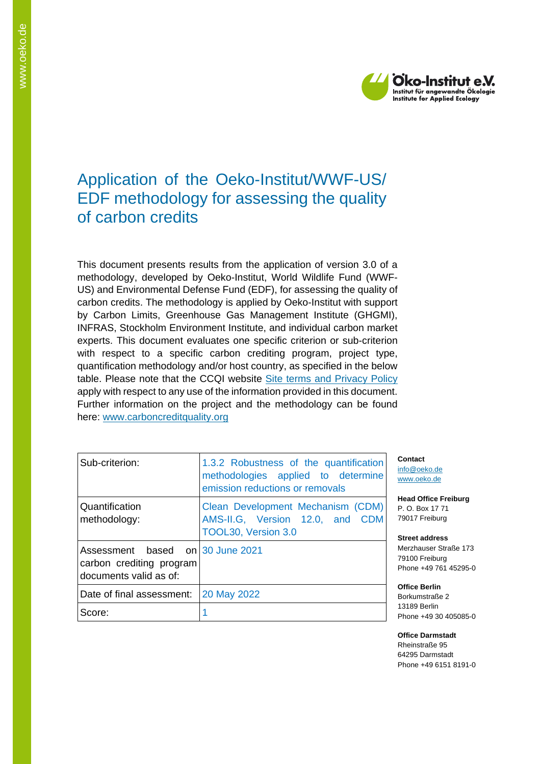

# Application of the Oeko-Institut/WWF-US/ EDF methodology for assessing the quality of carbon credits

This document presents results from the application of version 3.0 of a methodology, developed by Oeko-Institut, World Wildlife Fund (WWF-US) and Environmental Defense Fund (EDF), for assessing the quality of carbon credits. The methodology is applied by Oeko-Institut with support by Carbon Limits, Greenhouse Gas Management Institute (GHGMI), INFRAS, Stockholm Environment Institute, and individual carbon market experts. This document evaluates one specific criterion or sub-criterion with respect to a specific carbon crediting program, project type, quantification methodology and/or host country, as specified in the below table. Please note that the CCQI website [Site terms and Privacy Policy](https://carboncreditquality.org/terms.html) apply with respect to any use of the information provided in this document. Further information on the project and the methodology can be found here: [www.carboncreditquality.org](http://www.carboncreditquality.org/)

| Sub-criterion:                                                                         | 1.3.2 Robustness of the quantification<br>methodologies applied to determine<br>emission reductions or removals          |  |  |
|----------------------------------------------------------------------------------------|--------------------------------------------------------------------------------------------------------------------------|--|--|
| Quantification<br>methodology:                                                         | н<br>Clean Development Mechanism (CDM)<br>Ρ.<br>79<br>AMS-II.G, Version 12.0, and CDM<br>TOOL30, Version 3.0<br><b>S</b> |  |  |
| Assessment based on 30 June 2021<br>carbon crediting program<br>documents valid as of: | M<br>79<br>PI                                                                                                            |  |  |
| Date of final assessment:                                                              | O<br>20 May 2022<br>B                                                                                                    |  |  |
| Score:                                                                                 | 13<br>P                                                                                                                  |  |  |

**Contact** ifo@oeko.de [www.oeko.de](http://www.oeko.de/)

**Head Office Freiburg** P. O. Box 17 71 9017 Freiburg

**Street address** Merzhauser Straße 173 9100 Freiburg hone +49 761 45295-0

**Office Berlin** Borkumstraße 2 13189 Berlin hone +49 30 405085-0

**Office Darmstadt** Rheinstraße 95 64295 Darmstadt Phone +49 6151 8191-0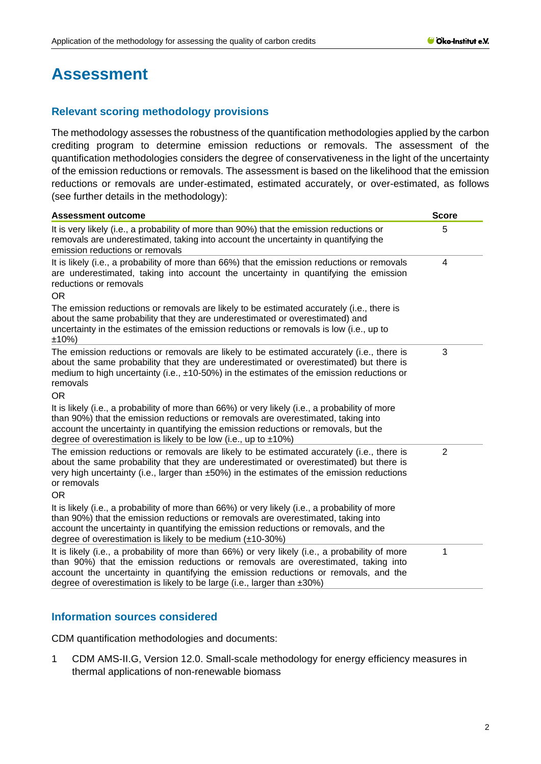# **Assessment**

# **Relevant scoring methodology provisions**

The methodology assesses the robustness of the quantification methodologies applied by the carbon crediting program to determine emission reductions or removals. The assessment of the quantification methodologies considers the degree of conservativeness in the light of the uncertainty of the emission reductions or removals. The assessment is based on the likelihood that the emission reductions or removals are under-estimated, estimated accurately, or over-estimated, as follows (see further details in the methodology):

| <b>Assessment outcome</b>                                                                                                                                                                                                                                                                                                                              | <b>Score</b>   |
|--------------------------------------------------------------------------------------------------------------------------------------------------------------------------------------------------------------------------------------------------------------------------------------------------------------------------------------------------------|----------------|
| It is very likely (i.e., a probability of more than 90%) that the emission reductions or<br>removals are underestimated, taking into account the uncertainty in quantifying the<br>emission reductions or removals                                                                                                                                     | 5              |
| It is likely (i.e., a probability of more than 66%) that the emission reductions or removals<br>are underestimated, taking into account the uncertainty in quantifying the emission<br>reductions or removals<br><b>OR</b>                                                                                                                             | 4              |
| The emission reductions or removals are likely to be estimated accurately (i.e., there is<br>about the same probability that they are underestimated or overestimated) and<br>uncertainty in the estimates of the emission reductions or removals is low (i.e., up to<br>$±10\%)$                                                                      |                |
| The emission reductions or removals are likely to be estimated accurately (i.e., there is<br>about the same probability that they are underestimated or overestimated) but there is<br>medium to high uncertainty (i.e., $\pm$ 10-50%) in the estimates of the emission reductions or<br>removals<br>OR.                                               | 3              |
| It is likely (i.e., a probability of more than 66%) or very likely (i.e., a probability of more<br>than 90%) that the emission reductions or removals are overestimated, taking into<br>account the uncertainty in quantifying the emission reductions or removals, but the<br>degree of overestimation is likely to be low (i.e., up to $\pm 10\%$ )  |                |
| The emission reductions or removals are likely to be estimated accurately (i.e., there is<br>about the same probability that they are underestimated or overestimated) but there is<br>very high uncertainty (i.e., larger than ±50%) in the estimates of the emission reductions<br>or removals<br><b>OR</b>                                          | $\overline{2}$ |
| It is likely (i.e., a probability of more than 66%) or very likely (i.e., a probability of more<br>than 90%) that the emission reductions or removals are overestimated, taking into<br>account the uncertainty in quantifying the emission reductions or removals, and the<br>degree of overestimation is likely to be medium $(\pm 10-30\%)$         |                |
| It is likely (i.e., a probability of more than 66%) or very likely (i.e., a probability of more<br>than 90%) that the emission reductions or removals are overestimated, taking into<br>account the uncertainty in quantifying the emission reductions or removals, and the<br>degree of overestimation is likely to be large (i.e., larger than ±30%) | 1              |

# **Information sources considered**

CDM quantification methodologies and documents:

1 CDM AMS-II.G, Version 12.0. Small-scale methodology for energy efficiency measures in thermal applications of non-renewable biomass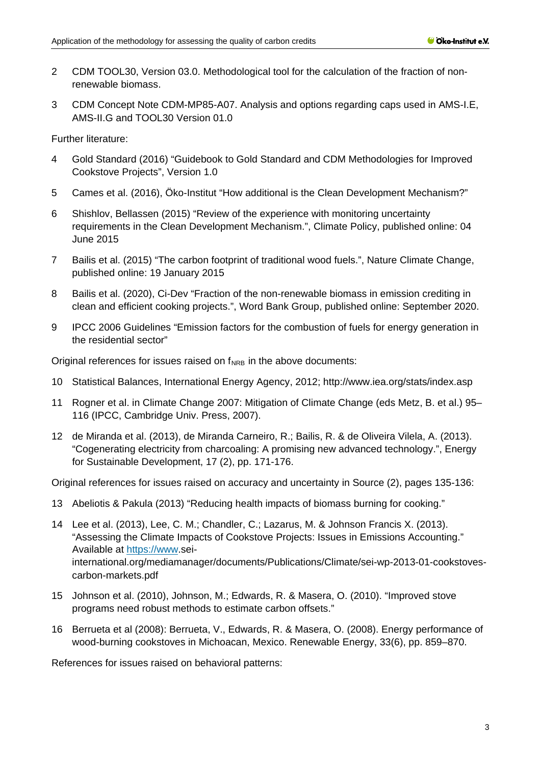- 2 CDM TOOL30, Version 03.0. Methodological tool for the calculation of the fraction of nonrenewable biomass.
- 3 CDM Concept Note CDM-MP85-A07. Analysis and options regarding caps used in AMS-I.E, AMS-II.G and TOOL30 Version 01.0

Further literature:

- 4 Gold Standard (2016) "Guidebook to Gold Standard and CDM Methodologies for Improved Cookstove Projects", Version 1.0
- 5 Cames et al. (2016), Öko-Institut "How additional is the Clean Development Mechanism?"
- 6 Shishlov, Bellassen (2015) "Review of the experience with monitoring uncertainty requirements in the Clean Development Mechanism.", Climate Policy, published online: 04 June 2015
- 7 Bailis et al. (2015) "The carbon footprint of traditional wood fuels.", Nature Climate Change, published online: 19 January 2015
- 8 Bailis et al. (2020), Ci-Dev "Fraction of the non-renewable biomass in emission crediting in clean and efficient cooking projects.", Word Bank Group, published online: September 2020.
- 9 IPCC 2006 Guidelines "Emission factors for the combustion of fuels for energy generation in the residential sector"

Original references for issues raised on  $f_{NRB}$  in the above documents:

- 10 Statistical Balances, International Energy Agency, 2012;<http://www.iea.org/stats/index.asp>
- 11 Rogner et al. in Climate Change 2007: Mitigation of Climate Change (eds Metz, B. et al.) 95– 116 (IPCC, Cambridge Univ. Press, 2007).
- 12 de Miranda et al. (2013), de Miranda Carneiro, R.; Bailis, R. & de Oliveira Vilela, A. (2013). "Cogenerating electricity from charcoaling: A promising new advanced technology.", Energy for Sustainable Development, 17 (2), pp. 171-176.

Original references for issues raised on accuracy and uncertainty in Source (2), pages 135-136:

- 13 Abeliotis & Pakula (2013) "Reducing health impacts of biomass burning for cooking."
- 14 Lee et al. (2013), Lee, C. M.; Chandler, C.; Lazarus, M. & Johnson Francis X. (2013). "Assessing the Climate Impacts of Cookstove Projects: Issues in Emissions Accounting." Available at [https://www.](https://www/)seiinternational.org/mediamanager/documents/Publications/Climate/sei-wp-2013-01-cookstovescarbon-markets.pdf
- 15 Johnson et al. (2010), Johnson, M.; Edwards, R. & Masera, O. (2010). "Improved stove programs need robust methods to estimate carbon offsets."
- 16 Berrueta et al (2008): Berrueta, V., Edwards, R. & Masera, O. (2008). Energy performance of wood-burning cookstoves in Michoacan, Mexico. Renewable Energy, 33(6), pp. 859–870.

References for issues raised on behavioral patterns: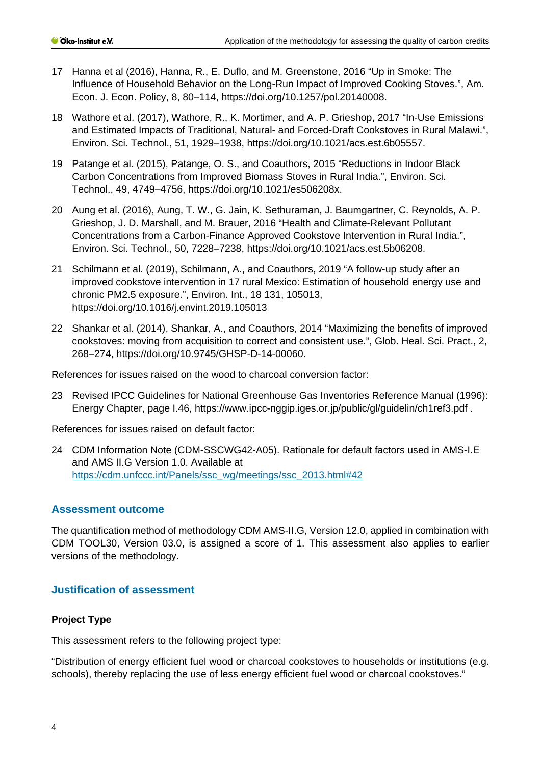- 17 Hanna et al (2016), Hanna, R., E. Duflo, and M. Greenstone, 2016 "Up in Smoke: The Influence of Household Behavior on the Long-Run Impact of Improved Cooking Stoves.", Am. Econ. J. Econ. Policy, 8, 80–114, [https://doi.org/10.1257/pol.20140008.](https://doi.org/10.1257/pol.20140008)
- 18 Wathore et al. (2017), Wathore, R., K. Mortimer, and A. P. Grieshop, 2017 "In-Use Emissions and Estimated Impacts of Traditional, Natural- and Forced-Draft Cookstoves in Rural Malawi.", Environ. Sci. Technol., 51, 1929–1938, [https://doi.org/10.1021/acs.est.6b05557.](https://doi.org/10.1021/acs.est.6b05557)
- 19 Patange et al. (2015), Patange, O. S., and Coauthors, 2015 "Reductions in Indoor Black Carbon Concentrations from Improved Biomass Stoves in Rural India.", Environ. Sci. Technol., 49, 4749–4756, [https://doi.org/10.1021/es506208x.](https://doi.org/10.1021/es506208x)
- 20 Aung et al. (2016), Aung, T. W., G. Jain, K. Sethuraman, J. Baumgartner, C. Reynolds, A. P. Grieshop, J. D. Marshall, and M. Brauer, 2016 "Health and Climate-Relevant Pollutant Concentrations from a Carbon-Finance Approved Cookstove Intervention in Rural India.", Environ. Sci. Technol., 50, 7228–7238, [https://doi.org/10.1021/acs.est.5b06208.](https://doi.org/10.1021/acs.est.5b06208)
- 21 Schilmann et al. (2019), Schilmann, A., and Coauthors, 2019 "A follow-up study after an improved cookstove intervention in 17 rural Mexico: Estimation of household energy use and chronic PM2.5 exposure.", Environ. Int., 18 131, 105013, <https://doi.org/10.1016/j.envint.2019.105013>
- 22 Shankar et al. (2014), Shankar, A., and Coauthors, 2014 "Maximizing the benefits of improved cookstoves: moving from acquisition to correct and consistent use.", Glob. Heal. Sci. Pract., 2, 268–274, [https://doi.org/10.9745/GHSP-D-14-00060.](https://doi.org/10.9745/GHSP-D-14-00060)

References for issues raised on the wood to charcoal conversion factor:

23 Revised IPCC Guidelines for National Greenhouse Gas Inventories Reference Manual (1996): Energy Chapter, page I.46,<https://www.ipcc-nggip.iges.or.jp/public/gl/guidelin/ch1ref3.pdf> .

References for issues raised on default factor:

24 CDM Information Note (CDM-SSCWG42-A05). Rationale for default factors used in AMS-I.E and AMS II.G Version 1.0. Available at [https://cdm.unfccc.int/Panels/ssc\\_wg/meetings/ssc\\_2013.html#42](https://cdm.unfccc.int/Panels/ssc_wg/meetings/ssc_2013.html#42)

## **Assessment outcome**

The quantification method of methodology CDM AMS-II.G, Version 12.0, applied in combination with CDM TOOL30, Version 03.0, is assigned a score of 1. This assessment also applies to earlier versions of the methodology.

## **Justification of assessment**

#### **Project Type**

This assessment refers to the following project type:

"Distribution of energy efficient fuel wood or charcoal cookstoves to households or institutions (e.g. schools), thereby replacing the use of less energy efficient fuel wood or charcoal cookstoves."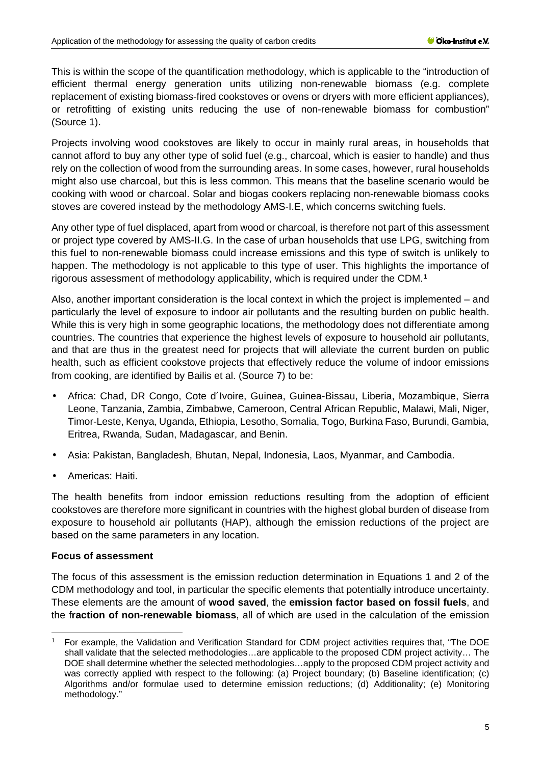This is within the scope of the quantification methodology, which is applicable to the "introduction of efficient thermal energy generation units utilizing non-renewable biomass (e.g. complete replacement of existing biomass-fired cookstoves or ovens or dryers with more efficient appliances), or retrofitting of existing units reducing the use of non-renewable biomass for combustion" (Source 1).

Projects involving wood cookstoves are likely to occur in mainly rural areas, in households that cannot afford to buy any other type of solid fuel (e.g., charcoal, which is easier to handle) and thus rely on the collection of wood from the surrounding areas. In some cases, however, rural households might also use charcoal, but this is less common. This means that the baseline scenario would be cooking with wood or charcoal. Solar and biogas cookers replacing non-renewable biomass cooks stoves are covered instead by the methodology AMS-I.E, which concerns switching fuels.

Any other type of fuel displaced, apart from wood or charcoal, is therefore not part of this assessment or project type covered by AMS-II.G. In the case of urban households that use LPG, switching from this fuel to non-renewable biomass could increase emissions and this type of switch is unlikely to happen. The methodology is not applicable to this type of user. This highlights the importance of rigorous assessment of methodology applicability, which is required under the CDM.[1](#page-4-0)

Also, another important consideration is the local context in which the project is implemented – and particularly the level of exposure to indoor air pollutants and the resulting burden on public health. While this is very high in some geographic locations, the methodology does not differentiate among countries. The countries that experience the highest levels of exposure to household air pollutants, and that are thus in the greatest need for projects that will alleviate the current burden on public health, such as efficient cookstove projects that effectively reduce the volume of indoor emissions from cooking, are identified by Bailis et al. (Source 7) to be:

- Africa: Chad, DR Congo, Cote d´Ivoire, Guinea, Guinea-Bissau, Liberia, Mozambique, Sierra Leone, Tanzania, Zambia, Zimbabwe, Cameroon, Central African Republic, Malawi, Mali, Niger, Timor-Leste, Kenya, Uganda, Ethiopia, Lesotho, Somalia, Togo, Burkina Faso, Burundi, Gambia, Eritrea, Rwanda, Sudan, Madagascar, and Benin.
- Asia: Pakistan, Bangladesh, Bhutan, Nepal, Indonesia, Laos, Myanmar, and Cambodia.
- Americas: Haiti.

The health benefits from indoor emission reductions resulting from the adoption of efficient cookstoves are therefore more significant in countries with the highest global burden of disease from exposure to household air pollutants (HAP), although the emission reductions of the project are based on the same parameters in any location.

## **Focus of assessment**

The focus of this assessment is the emission reduction determination in Equations 1 and 2 of the CDM methodology and tool, in particular the specific elements that potentially introduce uncertainty. These elements are the amount of **wood saved**, the **emission factor based on fossil fuels**, and the f**raction of non-renewable biomass**, all of which are used in the calculation of the emission

<span id="page-4-0"></span><sup>1</sup> For example, the Validation and Verification Standard for CDM project activities requires that, "The DOE shall validate that the selected methodologies…are applicable to the proposed CDM project activity… The DOE shall determine whether the selected methodologies…apply to the proposed CDM project activity and was correctly applied with respect to the following: (a) Project boundary; (b) Baseline identification; (c) Algorithms and/or formulae used to determine emission reductions; (d) Additionality; (e) Monitoring methodology."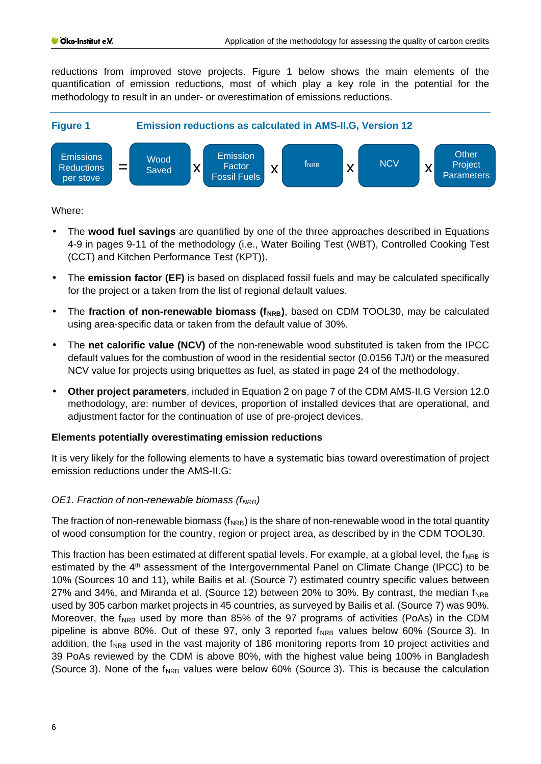reductions from improved stove projects. Figure 1 below shows the main elements of the quantification of emission reductions, most of which play a key role in the potential for the methodology to result in an under- or overestimation of emissions reductions.



Where:

- The **wood fuel savings** are quantified by one of the three approaches described in Equations 4-9 in pages 9-11 of the methodology (i.e., Water Boiling Test (WBT), Controlled Cooking Test (CCT) and Kitchen Performance Test (KPT)).
- The **emission factor (EF)** is based on displaced fossil fuels and may be calculated specifically for the project or a taken from the list of regional default values.
- t, The **fraction of non-renewable biomass (f<sub>NRB</sub>)**, based on CDM TOOL30, may be calculated using area-specific data or taken from the default value of 30%.
- The **net calorific value (NCV)** of the non-renewable wood substituted is taken from the IPCC default values for the combustion of wood in the residential sector (0.0156 TJ/t) or the measured NCV value for projects using briquettes as fuel, as stated in page 24 of the methodology.
- **Other project parameters**, included in Equation 2 on page 7 of the CDM AMS-II.G Version 12.0 methodology, are: number of devices, proportion of installed devices that are operational, and adjustment factor for the continuation of use of pre-project devices.

## **Elements potentially overestimating emission reductions**

It is very likely for the following elements to have a systematic bias toward overestimation of project emission reductions under the AMS-II.G:

# *OE1. Fraction of non-renewable biomass (f<sub>NRB</sub>)*

The fraction of non-renewable biomass ( $f_{\text{NRB}}$ ) is the share of non-renewable wood in the total quantity of wood consumption for the country, region or project area, as described by in the CDM TOOL30.

This fraction has been estimated at different spatial levels. For example, at a global level, the f<sub>NRB</sub> is estimated by the 4<sup>th</sup> assessment of the Intergovernmental Panel on Climate Change (IPCC) to be 10% (Sources 10 and 11), while Bailis et al. (Source 7) estimated country specific values between 27% and 34%, and Miranda et al. (Source 12) between 20% to 30%. By contrast, the median  $f_{\text{NRB}}$ used by 305 carbon market projects in 45 countries, as surveyed by Bailis et al. (Source 7) was 90%. Moreover, the  $f_{NRB}$  used by more than 85% of the 97 programs of activities (PoAs) in the CDM pipeline is above 80%. Out of these 97, only 3 reported  $f_{NRB}$  values below 60% (Source 3). In addition, the f<sub>NRB</sub> used in the vast majority of 186 monitoring reports from 10 project activities and 39 PoAs reviewed by the CDM is above 80%, with the highest value being 100% in Bangladesh (Source 3). None of the  $f_{NRB}$  values were below 60% (Source 3). This is because the calculation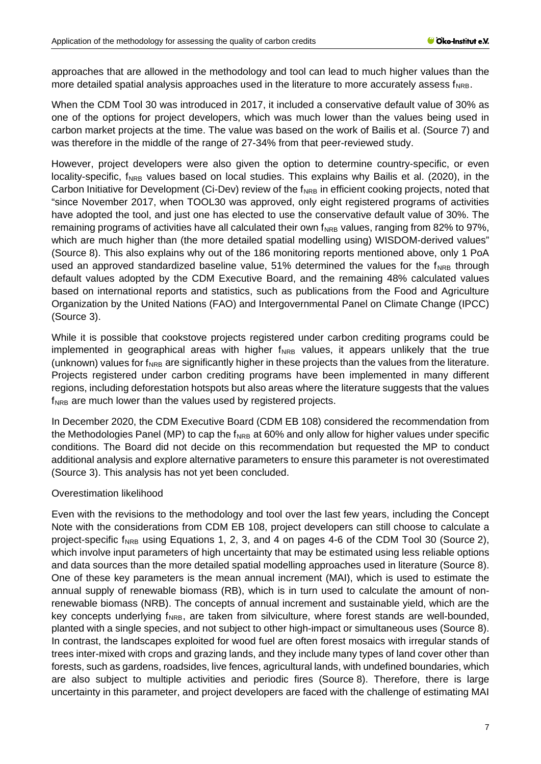approaches that are allowed in the methodology and tool can lead to much higher values than the more detailed spatial analysis approaches used in the literature to more accurately assess fNRB.

When the CDM Tool 30 was introduced in 2017, it included a conservative default value of 30% as one of the options for project developers, which was much lower than the values being used in carbon market projects at the time. The value was based on the work of Bailis et al. (Source 7) and was therefore in the middle of the range of 27-34% from that peer-reviewed study.

However, project developers were also given the option to determine country-specific, or even locality-specific, f<sub>NRB</sub> values based on local studies. This explains why Bailis et al. (2020), in the Carbon Initiative for Development (Ci-Dev) review of the  $f_{NRB}$  in efficient cooking projects, noted that "since November 2017, when TOOL30 was approved, only eight registered programs of activities have adopted the tool, and just one has elected to use the conservative default value of 30%. The remaining programs of activities have all calculated their own  $f_{NRB}$  values, ranging from 82% to 97%, which are much higher than (the more detailed spatial modelling using) WISDOM-derived values" (Source 8). This also explains why out of the 186 monitoring reports mentioned above, only 1 PoA used an approved standardized baseline value,  $51\%$  determined the values for the  $f_{NRB}$  through default values adopted by the CDM Executive Board, and the remaining 48% calculated values based on international reports and statistics, such as publications from the Food and Agriculture Organization by the United Nations (FAO) and Intergovernmental Panel on Climate Change (IPCC) (Source 3).

While it is possible that cookstove projects registered under carbon crediting programs could be implemented in geographical areas with higher  $f_{NRB}$  values, it appears unlikely that the true (unknown) values for  $f_{NRB}$  are significantly higher in these projects than the values from the literature. Projects registered under carbon crediting programs have been implemented in many different regions, including deforestation hotspots but also areas where the literature suggests that the values f<sub>NRB</sub> are much lower than the values used by registered projects.

In December 2020, the CDM Executive Board (CDM EB 108) considered the recommendation from the Methodologies Panel (MP) to cap the  $f_{NRB}$  at 60% and only allow for higher values under specific conditions. The Board did not decide on this recommendation but requested the MP to conduct additional analysis and explore alternative parameters to ensure this parameter is not overestimated (Source 3). This analysis has not yet been concluded.

## Overestimation likelihood

Even with the revisions to the methodology and tool over the last few years, including the Concept Note with the considerations from CDM EB 108, project developers can still choose to calculate a project-specific f<sub>NRB</sub> using Equations 1, 2, 3, and 4 on pages 4-6 of the CDM Tool 30 (Source 2), which involve input parameters of high uncertainty that may be estimated using less reliable options and data sources than the more detailed spatial modelling approaches used in literature (Source 8). One of these key parameters is the mean annual increment (MAI), which is used to estimate the annual supply of renewable biomass (RB), which is in turn used to calculate the amount of nonrenewable biomass (NRB). The concepts of annual increment and sustainable yield, which are the key concepts underlying  $f_{NRB}$ , are taken from silviculture, where forest stands are well-bounded, planted with a single species, and not subject to other high-impact or simultaneous uses (Source 8). In contrast, the landscapes exploited for wood fuel are often forest mosaics with irregular stands of trees inter-mixed with crops and grazing lands, and they include many types of land cover other than forests, such as gardens, roadsides, live fences, agricultural lands, with undefined boundaries, which are also subject to multiple activities and periodic fires (Source 8). Therefore, there is large uncertainty in this parameter, and project developers are faced with the challenge of estimating MAI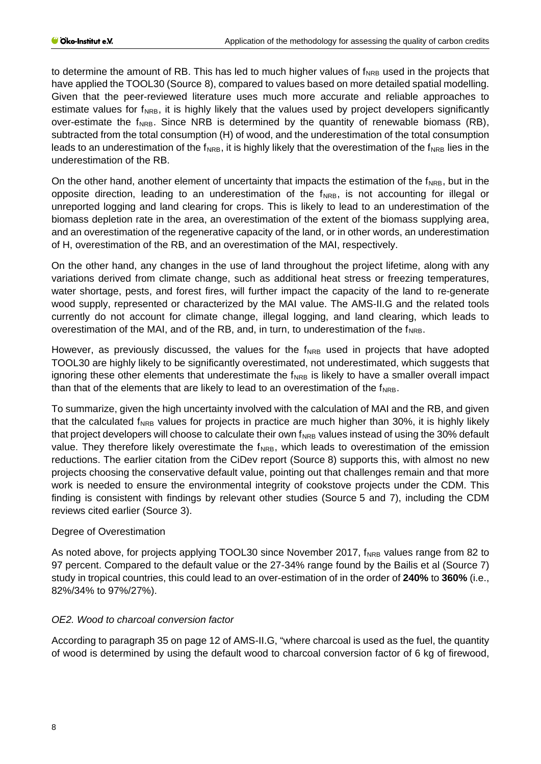to determine the amount of RB. This has led to much higher values of  $f_{NRB}$  used in the projects that have applied the TOOL30 (Source 8), compared to values based on more detailed spatial modelling. Given that the peer-reviewed literature uses much more accurate and reliable approaches to estimate values for  $f_{NRB}$ , it is highly likely that the values used by project developers significantly over-estimate the  $f_{NRB}$ . Since NRB is determined by the quantity of renewable biomass (RB), subtracted from the total consumption (H) of wood, and the underestimation of the total consumption leads to an underestimation of the  $f_{NRB}$ , it is highly likely that the overestimation of the  $f_{NRB}$  lies in the underestimation of the RB.

On the other hand, another element of uncertainty that impacts the estimation of the  $f_{NRB}$ , but in the opposite direction, leading to an underestimation of the  $f_{NRB}$ , is not accounting for illegal or unreported logging and land clearing for crops. This is likely to lead to an underestimation of the biomass depletion rate in the area, an overestimation of the extent of the biomass supplying area, and an overestimation of the regenerative capacity of the land, or in other words, an underestimation of H, overestimation of the RB, and an overestimation of the MAI, respectively.

On the other hand, any changes in the use of land throughout the project lifetime, along with any variations derived from climate change, such as additional heat stress or freezing temperatures, water shortage, pests, and forest fires, will further impact the capacity of the land to re-generate wood supply, represented or characterized by the MAI value. The AMS-II.G and the related tools currently do not account for climate change, illegal logging, and land clearing, which leads to overestimation of the MAI, and of the RB, and, in turn, to underestimation of the  $f_{NRB}$ .

However, as previously discussed, the values for the  $f_{NRB}$  used in projects that have adopted TOOL30 are highly likely to be significantly overestimated, not underestimated, which suggests that ignoring these other elements that underestimate the  $f_{NRB}$  is likely to have a smaller overall impact than that of the elements that are likely to lead to an overestimation of the  $f_{NRB}$ .

To summarize, given the high uncertainty involved with the calculation of MAI and the RB, and given that the calculated  $f_{NRB}$  values for projects in practice are much higher than 30%, it is highly likely that project developers will choose to calculate their own  $f_{NRB}$  values instead of using the 30% default value. They therefore likely overestimate the  $f_{NRB}$ , which leads to overestimation of the emission reductions. The earlier citation from the CiDev report (Source 8) supports this, with almost no new projects choosing the conservative default value, pointing out that challenges remain and that more work is needed to ensure the environmental integrity of cookstove projects under the CDM. This finding is consistent with findings by relevant other studies (Source 5 and 7), including the CDM reviews cited earlier (Source 3).

## Degree of Overestimation

As noted above, for projects applying TOOL30 since November 2017, f<sub>NRB</sub> values range from 82 to 97 percent. Compared to the default value or the 27-34% range found by the Bailis et al (Source 7) study in tropical countries, this could lead to an over-estimation of in the order of **240%** to **360%** (i.e., 82%/34% to 97%/27%).

# *OE2. Wood to charcoal conversion factor*

According to paragraph 35 on page 12 of AMS-II.G, "where charcoal is used as the fuel, the quantity of wood is determined by using the default wood to charcoal conversion factor of 6 kg of firewood,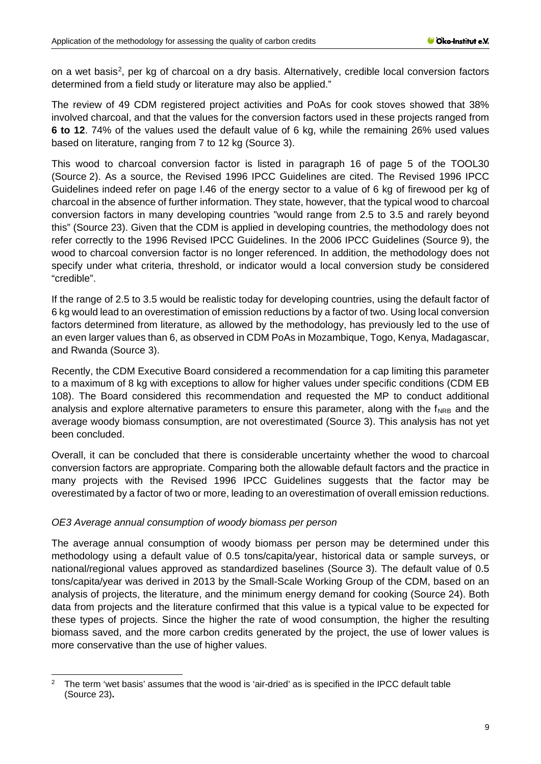on a wet basis[2,](#page-8-0) per kg of charcoal on a dry basis. Alternatively, credible local conversion factors determined from a field study or literature may also be applied."

The review of 49 CDM registered project activities and PoAs for cook stoves showed that 38% involved charcoal, and that the values for the conversion factors used in these projects ranged from **6 to 12**. 74% of the values used the default value of 6 kg, while the remaining 26% used values based on literature, ranging from 7 to 12 kg (Source 3).

This wood to charcoal conversion factor is listed in paragraph 16 of page 5 of the TOOL30 (Source 2). As a source, the Revised 1996 IPCC Guidelines are cited. The Revised 1996 IPCC Guidelines indeed refer on page I.46 of the energy sector to a value of 6 kg of firewood per kg of charcoal in the absence of further information. They state, however, that the typical wood to charcoal conversion factors in many developing countries "would range from 2.5 to 3.5 and rarely beyond this" (Source 23). Given that the CDM is applied in developing countries, the methodology does not refer correctly to the 1996 Revised IPCC Guidelines. In the 2006 IPCC Guidelines (Source 9), the wood to charcoal conversion factor is no longer referenced. In addition, the methodology does not specify under what criteria, threshold, or indicator would a local conversion study be considered "credible".

If the range of 2.5 to 3.5 would be realistic today for developing countries, using the default factor of 6 kg would lead to an overestimation of emission reductions by a factor of two. Using local conversion factors determined from literature, as allowed by the methodology, has previously led to the use of an even larger values than 6, as observed in CDM PoAs in Mozambique, Togo, Kenya, Madagascar, and Rwanda (Source 3).

Recently, the CDM Executive Board considered a recommendation for a cap limiting this parameter to a maximum of 8 kg with exceptions to allow for higher values under specific conditions (CDM EB 108). The Board considered this recommendation and requested the MP to conduct additional analysis and explore alternative parameters to ensure this parameter, along with the  $f_{\text{NRB}}$  and the average woody biomass consumption, are not overestimated (Source 3). This analysis has not yet been concluded.

Overall, it can be concluded that there is considerable uncertainty whether the wood to charcoal conversion factors are appropriate. Comparing both the allowable default factors and the practice in many projects with the Revised 1996 IPCC Guidelines suggests that the factor may be overestimated by a factor of two or more, leading to an overestimation of overall emission reductions.

## *OE3 Average annual consumption of woody biomass per person*

The average annual consumption of woody biomass per person may be determined under this methodology using a default value of 0.5 tons/capita/year, historical data or sample surveys, or national/regional values approved as standardized baselines (Source 3). The default value of 0.5 tons/capita/year was derived in 2013 by the Small-Scale Working Group of the CDM, based on an analysis of projects, the literature, and the minimum energy demand for cooking (Source 24). Both data from projects and the literature confirmed that this value is a typical value to be expected for these types of projects. Since the higher the rate of wood consumption, the higher the resulting biomass saved, and the more carbon credits generated by the project, the use of lower values is more conservative than the use of higher values.

<span id="page-8-0"></span><sup>2</sup> The term 'wet basis' assumes that the wood is 'air-dried' as is specified in the IPCC default table (Source 23)**.**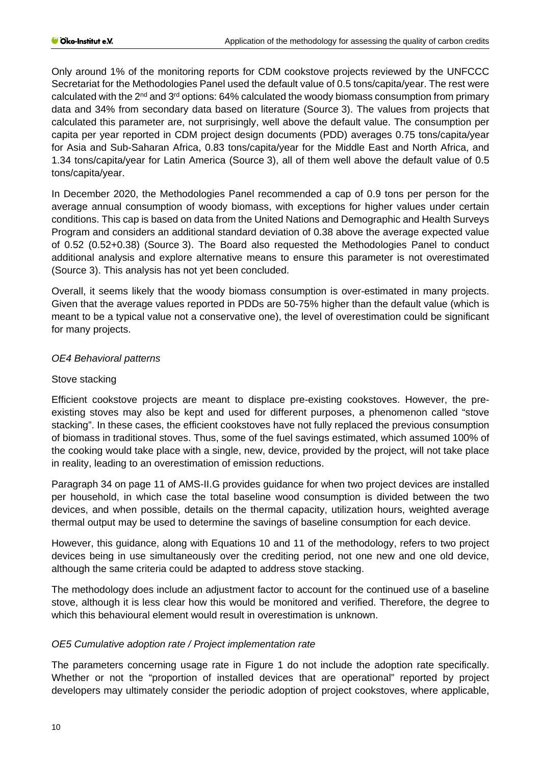Only around 1% of the monitoring reports for CDM cookstove projects reviewed by the UNFCCC Secretariat for the Methodologies Panel used the default value of 0.5 tons/capita/year. The rest were calculated with the  $2<sup>nd</sup>$  and  $3<sup>rd</sup>$  options: 64% calculated the woody biomass consumption from primary data and 34% from secondary data based on literature (Source 3). The values from projects that calculated this parameter are, not surprisingly, well above the default value. The consumption per capita per year reported in CDM project design documents (PDD) averages 0.75 tons/capita/year for Asia and Sub-Saharan Africa, 0.83 tons/capita/year for the Middle East and North Africa, and 1.34 tons/capita/year for Latin America (Source 3), all of them well above the default value of 0.5 tons/capita/year.

In December 2020, the Methodologies Panel recommended a cap of 0.9 tons per person for the average annual consumption of woody biomass, with exceptions for higher values under certain conditions. This cap is based on data from the United Nations and Demographic and Health Surveys Program and considers an additional standard deviation of 0.38 above the average expected value of 0.52 (0.52+0.38) (Source 3). The Board also requested the Methodologies Panel to conduct additional analysis and explore alternative means to ensure this parameter is not overestimated (Source 3). This analysis has not yet been concluded.

Overall, it seems likely that the woody biomass consumption is over-estimated in many projects. Given that the average values reported in PDDs are 50-75% higher than the default value (which is meant to be a typical value not a conservative one), the level of overestimation could be significant for many projects.

## *OE4 Behavioral patterns*

#### Stove stacking

Efficient cookstove projects are meant to displace pre-existing cookstoves. However, the preexisting stoves may also be kept and used for different purposes, a phenomenon called "stove stacking". In these cases, the efficient cookstoves have not fully replaced the previous consumption of biomass in traditional stoves. Thus, some of the fuel savings estimated, which assumed 100% of the cooking would take place with a single, new, device, provided by the project, will not take place in reality, leading to an overestimation of emission reductions.

Paragraph 34 on page 11 of AMS-II.G provides guidance for when two project devices are installed per household, in which case the total baseline wood consumption is divided between the two devices, and when possible, details on the thermal capacity, utilization hours, weighted average thermal output may be used to determine the savings of baseline consumption for each device.

However, this guidance, along with Equations 10 and 11 of the methodology, refers to two project devices being in use simultaneously over the crediting period, not one new and one old device, although the same criteria could be adapted to address stove stacking.

The methodology does include an adjustment factor to account for the continued use of a baseline stove, although it is less clear how this would be monitored and verified. Therefore, the degree to which this behavioural element would result in overestimation is unknown.

## *OE5 Cumulative adoption rate / Project implementation rate*

The parameters concerning usage rate in Figure 1 do not include the adoption rate specifically. Whether or not the "proportion of installed devices that are operational" reported by project developers may ultimately consider the periodic adoption of project cookstoves, where applicable,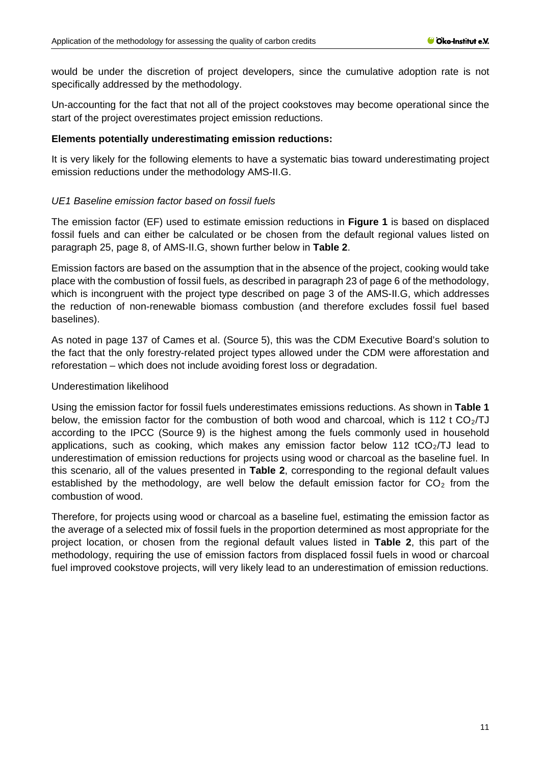would be under the discretion of project developers, since the cumulative adoption rate is not specifically addressed by the methodology.

Un-accounting for the fact that not all of the project cookstoves may become operational since the start of the project overestimates project emission reductions.

#### **Elements potentially underestimating emission reductions:**

It is very likely for the following elements to have a systematic bias toward underestimating project emission reductions under the methodology AMS-II.G.

## *UE1 Baseline emission factor based on fossil fuels*

The emission factor (EF) used to estimate emission reductions in **Figure 1** is based on displaced fossil fuels and can either be calculated or be chosen from the default regional values listed on paragraph 25, page 8, of AMS-II.G, shown further below in **Table 2**.

Emission factors are based on the assumption that in the absence of the project, cooking would take place with the combustion of fossil fuels, as described in paragraph 23 of page 6 of the methodology, which is incongruent with the project type described on page 3 of the AMS-II.G, which addresses the reduction of non-renewable biomass combustion (and therefore excludes fossil fuel based baselines).

As noted in page 137 of Cames et al. (Source 5), this was the CDM Executive Board's solution to the fact that the only forestry-related project types allowed under the CDM were afforestation and reforestation – which does not include avoiding forest loss or degradation.

#### Underestimation likelihood

Using the emission factor for fossil fuels underestimates emissions reductions. As shown in **Table 1** below, the emission factor for the combustion of both wood and charcoal, which is 112 t  $CO<sub>2</sub>/TJ$ according to the IPCC (Source 9) is the highest among the fuels commonly used in household applications, such as cooking, which makes any emission factor below 112 tCO<sub>2</sub>/TJ lead to underestimation of emission reductions for projects using wood or charcoal as the baseline fuel. In this scenario, all of the values presented in **Table 2**, corresponding to the regional default values established by the methodology, are well below the default emission factor for  $CO<sub>2</sub>$  from the combustion of wood.

Therefore, for projects using wood or charcoal as a baseline fuel, estimating the emission factor as the average of a selected mix of fossil fuels in the proportion determined as most appropriate for the project location, or chosen from the regional default values listed in **Table 2**, this part of the methodology, requiring the use of emission factors from displaced fossil fuels in wood or charcoal fuel improved cookstove projects, will very likely lead to an underestimation of emission reductions.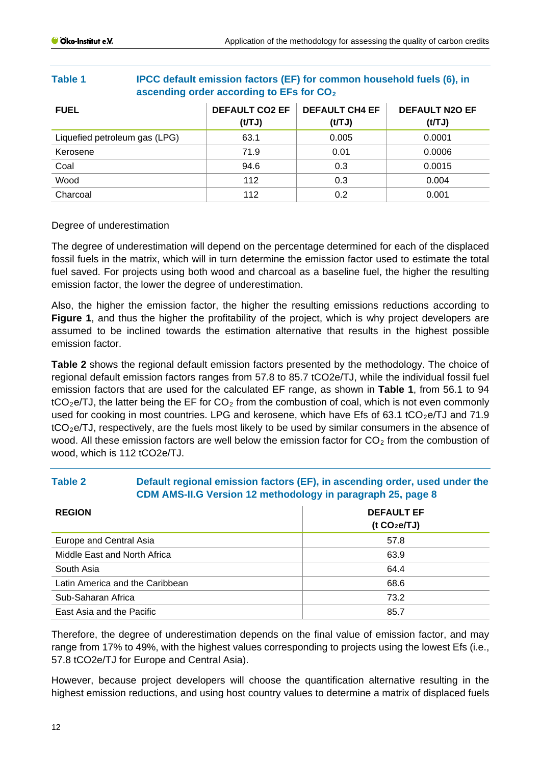| ascending order according to LFs for $0.02$ |                                 |                                |                                 |
|---------------------------------------------|---------------------------------|--------------------------------|---------------------------------|
| <b>FUEL</b>                                 | <b>DEFAULT CO2 EF</b><br>(t/TJ) | <b>DEFAULT CH4 EF</b><br>(tTJ) | <b>DEFAULT N2O EF</b><br>(t/TJ) |
| Liquefied petroleum gas (LPG)               | 63.1                            | 0.005                          | 0.0001                          |
| Kerosene                                    | 71.9                            | 0.01                           | 0.0006                          |
| Coal                                        | 94.6                            | 0.3                            | 0.0015                          |
| Wood                                        | 112                             | 0.3                            | 0.004                           |
| Charcoal                                    | 112                             | 0.2                            | 0.001                           |

## **Table 1 IPCC default emission factors (EF) for common household fuels (6), in ascending order according to EFs for CO2**

## Degree of underestimation

The degree of underestimation will depend on the percentage determined for each of the displaced fossil fuels in the matrix, which will in turn determine the emission factor used to estimate the total fuel saved. For projects using both wood and charcoal as a baseline fuel, the higher the resulting emission factor, the lower the degree of underestimation.

Also, the higher the emission factor, the higher the resulting emissions reductions according to **Figure 1**, and thus the higher the profitability of the project, which is why project developers are assumed to be inclined towards the estimation alternative that results in the highest possible emission factor.

**Table 2** shows the regional default emission factors presented by the methodology. The choice of regional default emission factors ranges from 57.8 to 85.7 tCO2e/TJ, while the individual fossil fuel emission factors that are used for the calculated EF range, as shown in **Table 1**, from 56.1 to 94  $tCO<sub>2</sub>e/TJ$ , the latter being the EF for  $CO<sub>2</sub>$  from the combustion of coal, which is not even commonly used for cooking in most countries. LPG and kerosene, which have Efs of 63.1 tCO<sub>2</sub>e/TJ and 71.9  $tCO<sub>2</sub>e/TJ$ , respectively, are the fuels most likely to be used by similar consumers in the absence of wood. All these emission factors are well below the emission factor for  $CO<sub>2</sub>$  from the combustion of wood, which is 112 tCO2e/TJ.

# **Table 2 Default regional emission factors (EF), in ascending order, used under the CDM AMS-II.G Version 12 methodology in paragraph 25, page 8**

| <b>REGION</b>                   | <b>DEFAULT EF</b><br>( $t CO2 e/TJ$ ) |
|---------------------------------|---------------------------------------|
| Europe and Central Asia         | 57.8                                  |
| Middle East and North Africa    | 63.9                                  |
| South Asia                      | 64.4                                  |
| Latin America and the Caribbean | 68.6                                  |
| Sub-Saharan Africa              | 73.2                                  |
| East Asia and the Pacific       | 85.7                                  |

Therefore, the degree of underestimation depends on the final value of emission factor, and may range from 17% to 49%, with the highest values corresponding to projects using the lowest Efs (i.e., 57.8 tCO2e/TJ for Europe and Central Asia).

However, because project developers will choose the quantification alternative resulting in the highest emission reductions, and using host country values to determine a matrix of displaced fuels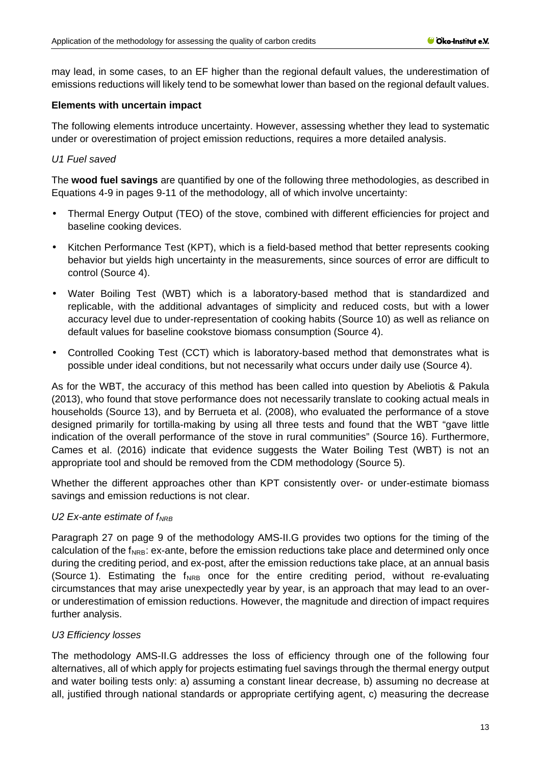may lead, in some cases, to an EF higher than the regional default values, the underestimation of emissions reductions will likely tend to be somewhat lower than based on the regional default values.

## **Elements with uncertain impact**

The following elements introduce uncertainty. However, assessing whether they lead to systematic under or overestimation of project emission reductions, requires a more detailed analysis.

## *U1 Fuel saved*

The **wood fuel savings** are quantified by one of the following three methodologies, as described in Equations 4-9 in pages 9-11 of the methodology, all of which involve uncertainty:

- Thermal Energy Output (TEO) of the stove, combined with different efficiencies for project and baseline cooking devices.
- Kitchen Performance Test (KPT), which is a field-based method that better represents cooking behavior but yields high uncertainty in the measurements, since sources of error are difficult to control (Source 4).
- Water Boiling Test (WBT) which is a laboratory-based method that is standardized and replicable, with the additional advantages of simplicity and reduced costs, but with a lower accuracy level due to under-representation of cooking habits (Source 10) as well as reliance on default values for baseline cookstove biomass consumption (Source 4).
- Controlled Cooking Test (CCT) which is laboratory-based method that demonstrates what is possible under ideal conditions, but not necessarily what occurs under daily use (Source 4).

As for the WBT, the accuracy of this method has been called into question by Abeliotis & Pakula (2013), who found that stove performance does not necessarily translate to cooking actual meals in households (Source 13), and by Berrueta et al. (2008), who evaluated the performance of a stove designed primarily for tortilla-making by using all three tests and found that the WBT "gave little indication of the overall performance of the stove in rural communities" (Source 16). Furthermore, Cames et al. (2016) indicate that evidence suggests the Water Boiling Test (WBT) is not an appropriate tool and should be removed from the CDM methodology (Source 5).

Whether the different approaches other than KPT consistently over- or under-estimate biomass savings and emission reductions is not clear.

## U2 Ex-ante estimate of f<sub>NRB</sub>

Paragraph 27 on page 9 of the methodology AMS-II.G provides two options for the timing of the calculation of the  $f_{NRB}$ : ex-ante, before the emission reductions take place and determined only once during the crediting period, and ex-post, after the emission reductions take place, at an annual basis (Source 1). Estimating the  $f_{NRB}$  once for the entire crediting period, without re-evaluating circumstances that may arise unexpectedly year by year, is an approach that may lead to an overor underestimation of emission reductions. However, the magnitude and direction of impact requires further analysis.

## *U3 Efficiency losses*

The methodology AMS-II.G addresses the loss of efficiency through one of the following four alternatives, all of which apply for projects estimating fuel savings through the thermal energy output and water boiling tests only: a) assuming a constant linear decrease, b) assuming no decrease at all, justified through national standards or appropriate certifying agent, c) measuring the decrease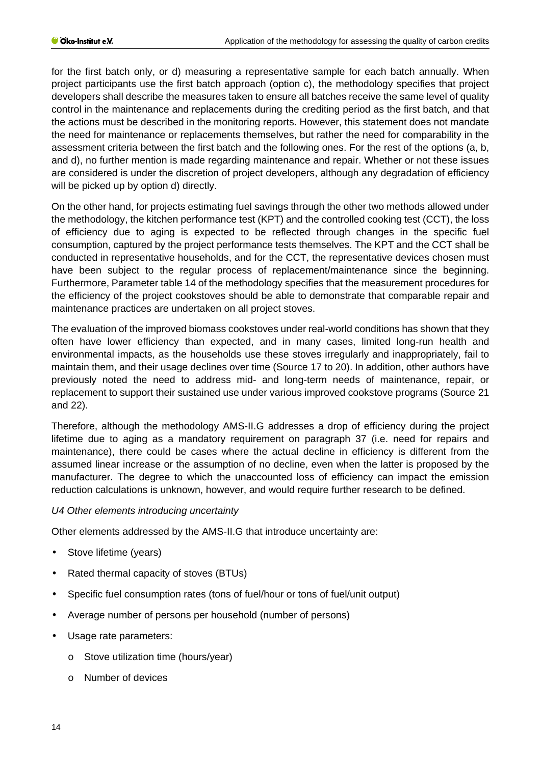for the first batch only, or d) measuring a representative sample for each batch annually. When project participants use the first batch approach (option c), the methodology specifies that project developers shall describe the measures taken to ensure all batches receive the same level of quality control in the maintenance and replacements during the crediting period as the first batch, and that the actions must be described in the monitoring reports. However, this statement does not mandate the need for maintenance or replacements themselves, but rather the need for comparability in the assessment criteria between the first batch and the following ones. For the rest of the options (a, b, and d), no further mention is made regarding maintenance and repair. Whether or not these issues are considered is under the discretion of project developers, although any degradation of efficiency will be picked up by option d) directly.

On the other hand, for projects estimating fuel savings through the other two methods allowed under the methodology, the kitchen performance test (KPT) and the controlled cooking test (CCT), the loss of efficiency due to aging is expected to be reflected through changes in the specific fuel consumption, captured by the project performance tests themselves. The KPT and the CCT shall be conducted in representative households, and for the CCT, the representative devices chosen must have been subject to the regular process of replacement/maintenance since the beginning. Furthermore, Parameter table 14 of the methodology specifies that the measurement procedures for the efficiency of the project cookstoves should be able to demonstrate that comparable repair and maintenance practices are undertaken on all project stoves.

The evaluation of the improved biomass cookstoves under real-world conditions has shown that they often have lower efficiency than expected, and in many cases, limited long-run health and environmental impacts, as the households use these stoves irregularly and inappropriately, fail to maintain them, and their usage declines over time (Source 17 to 20). In addition, other authors have previously noted the need to address mid- and long-term needs of maintenance, repair, or replacement to support their sustained use under various improved cookstove programs (Source 21 and 22).

Therefore, although the methodology AMS-II.G addresses a drop of efficiency during the project lifetime due to aging as a mandatory requirement on paragraph 37 (i.e. need for repairs and maintenance), there could be cases where the actual decline in efficiency is different from the assumed linear increase or the assumption of no decline, even when the latter is proposed by the manufacturer. The degree to which the unaccounted loss of efficiency can impact the emission reduction calculations is unknown, however, and would require further research to be defined.

## *U4 Other elements introducing uncertainty*

Other elements addressed by the AMS-II.G that introduce uncertainty are:

- ä, Stove lifetime (years)
- Rated thermal capacity of stoves (BTUs)
- Specific fuel consumption rates (tons of fuel/hour or tons of fuel/unit output)
- Average number of persons per household (number of persons)
- Usage rate parameters:
	- o Stove utilization time (hours/year)
	- o Number of devices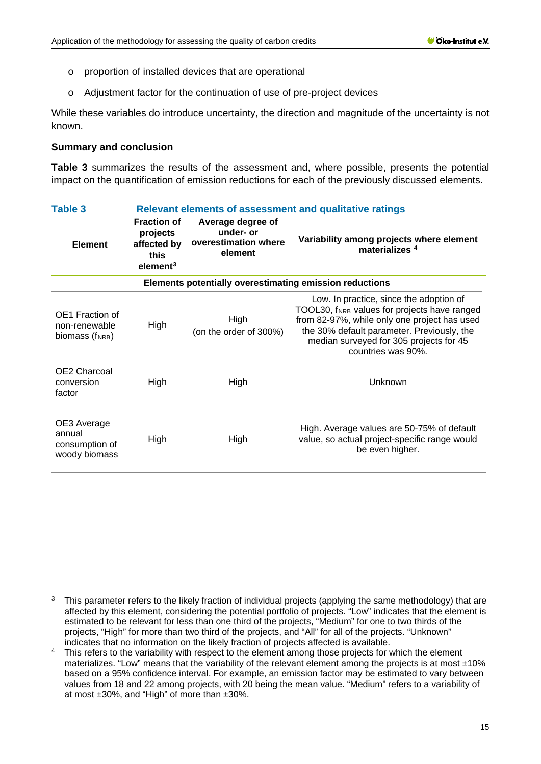- o proportion of installed devices that are operational
- o Adjustment factor for the continuation of use of pre-project devices

While these variables do introduce uncertainty, the direction and magnitude of the uncertainty is not known.

#### **Summary and conclusion**

**Table 3** summarizes the results of the assessment and, where possible, presents the potential impact on the quantification of emission reductions for each of the previously discussed elements.

| Table 3                                                  | <b>Relevant elements of assessment and qualitative ratings</b>                |                                                                   |                                                                                                                                                                                                                                                                    |  |  |
|----------------------------------------------------------|-------------------------------------------------------------------------------|-------------------------------------------------------------------|--------------------------------------------------------------------------------------------------------------------------------------------------------------------------------------------------------------------------------------------------------------------|--|--|
| <b>Element</b>                                           | <b>Fraction of</b><br>projects<br>affected by<br>this<br>element <sup>3</sup> | Average degree of<br>under- or<br>overestimation where<br>element | Variability among projects where element<br>materializes <sup>4</sup>                                                                                                                                                                                              |  |  |
| Elements potentially overestimating emission reductions  |                                                                               |                                                                   |                                                                                                                                                                                                                                                                    |  |  |
| OE1 Fraction of<br>non-renewable<br>biomass (fNRB)       | High                                                                          | High<br>(on the order of 300%)                                    | Low. In practice, since the adoption of<br>TOOL30, f <sub>NRB</sub> values for projects have ranged<br>from 82-97%, while only one project has used<br>the 30% default parameter. Previously, the<br>median surveyed for 305 projects for 45<br>countries was 90%. |  |  |
| OE2 Charcoal<br>conversion<br>factor                     | High                                                                          | High                                                              | Unknown                                                                                                                                                                                                                                                            |  |  |
| OE3 Average<br>annual<br>consumption of<br>woody biomass | High                                                                          | High                                                              | High. Average values are 50-75% of default<br>value, so actual project-specific range would<br>be even higher.                                                                                                                                                     |  |  |

<span id="page-14-0"></span><sup>&</sup>lt;sup>3</sup> This parameter refers to the likely fraction of individual projects (applying the same methodology) that are affected by this element, considering the potential portfolio of projects. "Low" indicates that the element is estimated to be relevant for less than one third of the projects, "Medium" for one to two thirds of the projects, "High" for more than two third of the projects, and "All" for all of the projects. "Unknown" indicates that no information on the likely fraction of projects affected is available.

<span id="page-14-1"></span><sup>&</sup>lt;sup>4</sup> This refers to the variability with respect to the element among those projects for which the element materializes. "Low" means that the variability of the relevant element among the projects is at most  $\pm 10\%$ based on a 95% confidence interval. For example, an emission factor may be estimated to vary between values from 18 and 22 among projects, with 20 being the mean value. "Medium" refers to a variability of at most ±30%, and "High" of more than ±30%.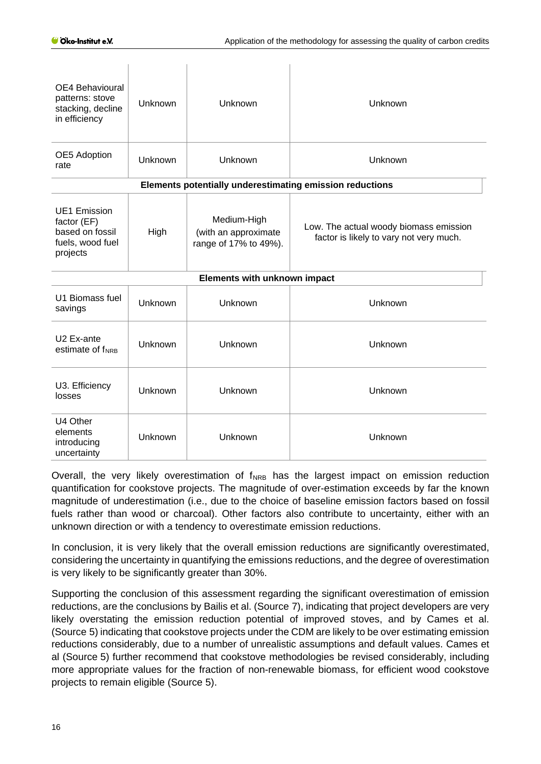| OE4 Behavioural<br>patterns: stove<br>stacking, decline<br>in efficiency              | Unknown | Unknown                                                      | Unknown                                                                           |  |
|---------------------------------------------------------------------------------------|---------|--------------------------------------------------------------|-----------------------------------------------------------------------------------|--|
| OE5 Adoption<br>rate                                                                  | Unknown | Unknown                                                      | Unknown                                                                           |  |
| Elements potentially underestimating emission reductions                              |         |                                                              |                                                                                   |  |
| <b>UE1 Emission</b><br>factor (EF)<br>based on fossil<br>fuels, wood fuel<br>projects | High    | Medium-High<br>(with an approximate<br>range of 17% to 49%). | Low. The actual woody biomass emission<br>factor is likely to vary not very much. |  |
|                                                                                       |         | Elements with unknown impact                                 |                                                                                   |  |
| U1 Biomass fuel<br>savings                                                            | Unknown | Unknown                                                      | Unknown                                                                           |  |
| U2 Ex-ante<br>estimate of f <sub>NRB</sub>                                            | Unknown | Unknown                                                      | Unknown                                                                           |  |
| U3. Efficiency<br>losses                                                              | Unknown | Unknown                                                      | Unknown                                                                           |  |
| U4 Other<br>elements<br>introducing<br>uncertainty                                    | Unknown | Unknown                                                      | Unknown                                                                           |  |

Overall, the very likely overestimation of  $f_{NRB}$  has the largest impact on emission reduction quantification for cookstove projects. The magnitude of over-estimation exceeds by far the known magnitude of underestimation (i.e., due to the choice of baseline emission factors based on fossil fuels rather than wood or charcoal). Other factors also contribute to uncertainty, either with an unknown direction or with a tendency to overestimate emission reductions.

In conclusion, it is very likely that the overall emission reductions are significantly overestimated, considering the uncertainty in quantifying the emissions reductions, and the degree of overestimation is very likely to be significantly greater than 30%.

Supporting the conclusion of this assessment regarding the significant overestimation of emission reductions, are the conclusions by Bailis et al. (Source 7), indicating that project developers are very likely overstating the emission reduction potential of improved stoves, and by Cames et al. (Source 5) indicating that cookstove projects under the CDM are likely to be over estimating emission reductions considerably, due to a number of unrealistic assumptions and default values. Cames et al (Source 5) further recommend that cookstove methodologies be revised considerably, including more appropriate values for the fraction of non-renewable biomass, for efficient wood cookstove projects to remain eligible (Source 5).